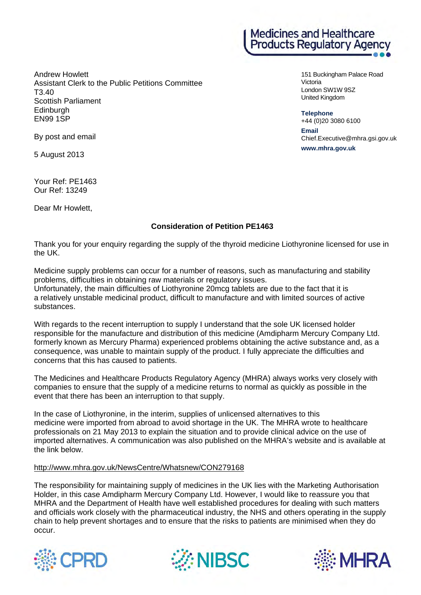Andrew Howlett Assistant Clerk to the Public Petitions Committee T3.40 Scottish Parliament Edinburgh EN99 1SP

**Medicines and Healthcare** Products Regulatory Agency

> 151 Buckingham Palace Road Victoria London SW1W 9SZ United Kingdom

**Telephone** 

+44 (0)20 3080 6100 **Email**  Chief.Executive@mhra.gsi.gov.uk **www.mhra.gov.uk**

By post and email

5 August 2013

Your Ref: PE1463 Our Ref: 13249

Dear Mr Howlett,

## **Consideration of Petition PE1463**

Thank you for your enquiry regarding the supply of the thyroid medicine Liothyronine licensed for use in the UK.

Medicine supply problems can occur for a number of reasons, such as manufacturing and stability problems, difficulties in obtaining raw materials or regulatory issues.

Unfortunately, the main difficulties of Liothyronine 20mcg tablets are due to the fact that it is a relatively unstable medicinal product, difficult to manufacture and with limited sources of active substances.

With regards to the recent interruption to supply I understand that the sole UK licensed holder responsible for the manufacture and distribution of this medicine (Amdipharm Mercury Company Ltd. formerly known as Mercury Pharma) experienced problems obtaining the active substance and, as a consequence, was unable to maintain supply of the product. I fully appreciate the difficulties and concerns that this has caused to patients.

The Medicines and Healthcare Products Regulatory Agency (MHRA) always works very closely with companies to ensure that the supply of a medicine returns to normal as quickly as possible in the event that there has been an interruption to that supply.

In the case of Liothyronine, in the interim, supplies of unlicensed alternatives to this medicine were imported from abroad to avoid shortage in the UK. The MHRA wrote to healthcare professionals on 21 May 2013 to explain the situation and to provide clinical advice on the use of imported alternatives. A communication was also published on the MHRA's website and is available at the link below.

## http://www.mhra.gov.uk/NewsCentre/Whatsnew/CON279168

The responsibility for maintaining supply of medicines in the UK lies with the Marketing Authorisation Holder, in this case Amdipharm Mercury Company Ltd. However, I would like to reassure you that MHRA and the Department of Health have well established procedures for dealing with such matters and officials work closely with the pharmaceutical industry, the NHS and others operating in the supply chain to help prevent shortages and to ensure that the risks to patients are minimised when they do occur.